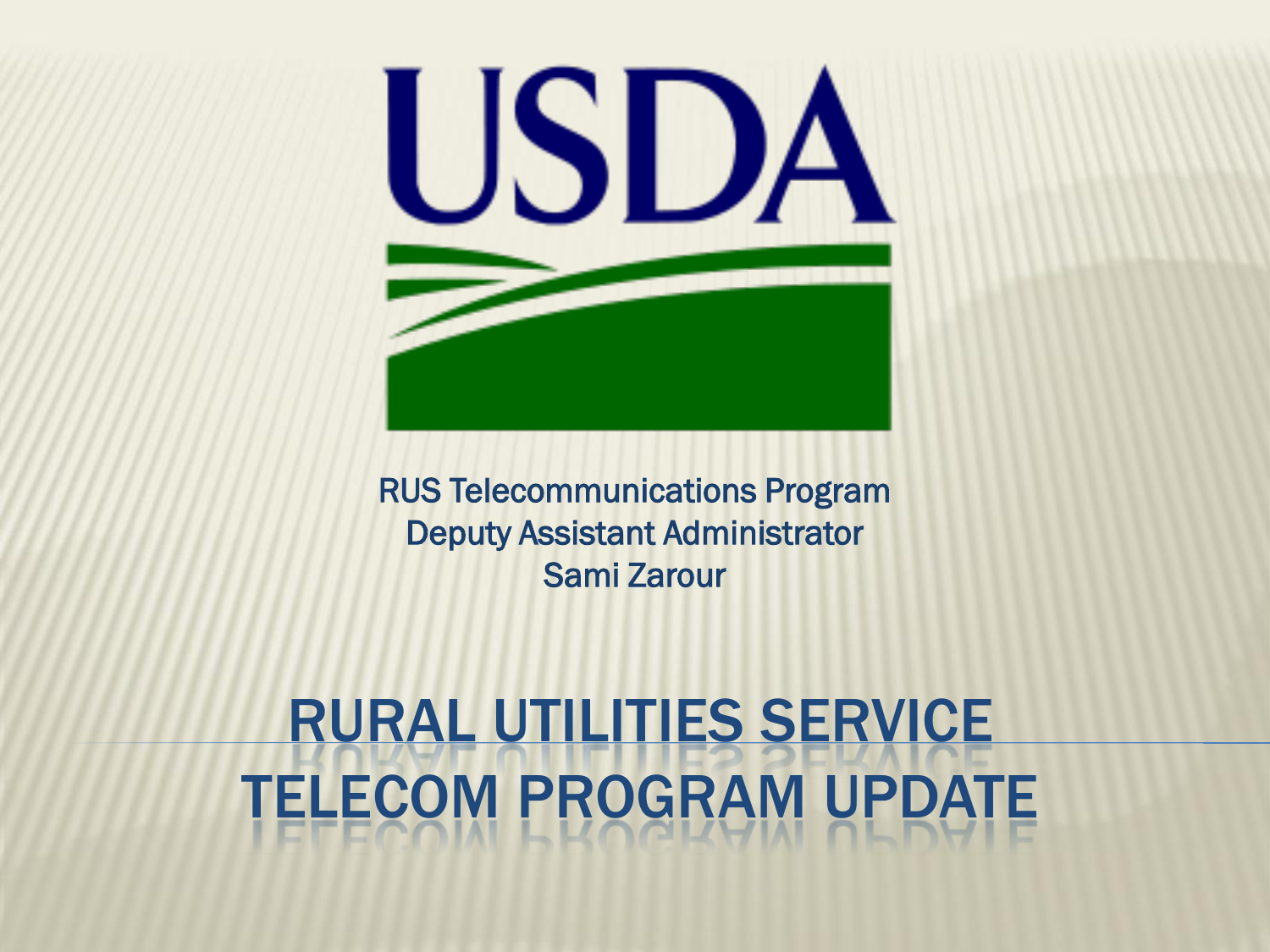

RUS Telecommunications Program Deputy Assistant Administrator Sami Zarour

### RURAL UTILITIES SERVICE TELECOM PROGRAM UPDATE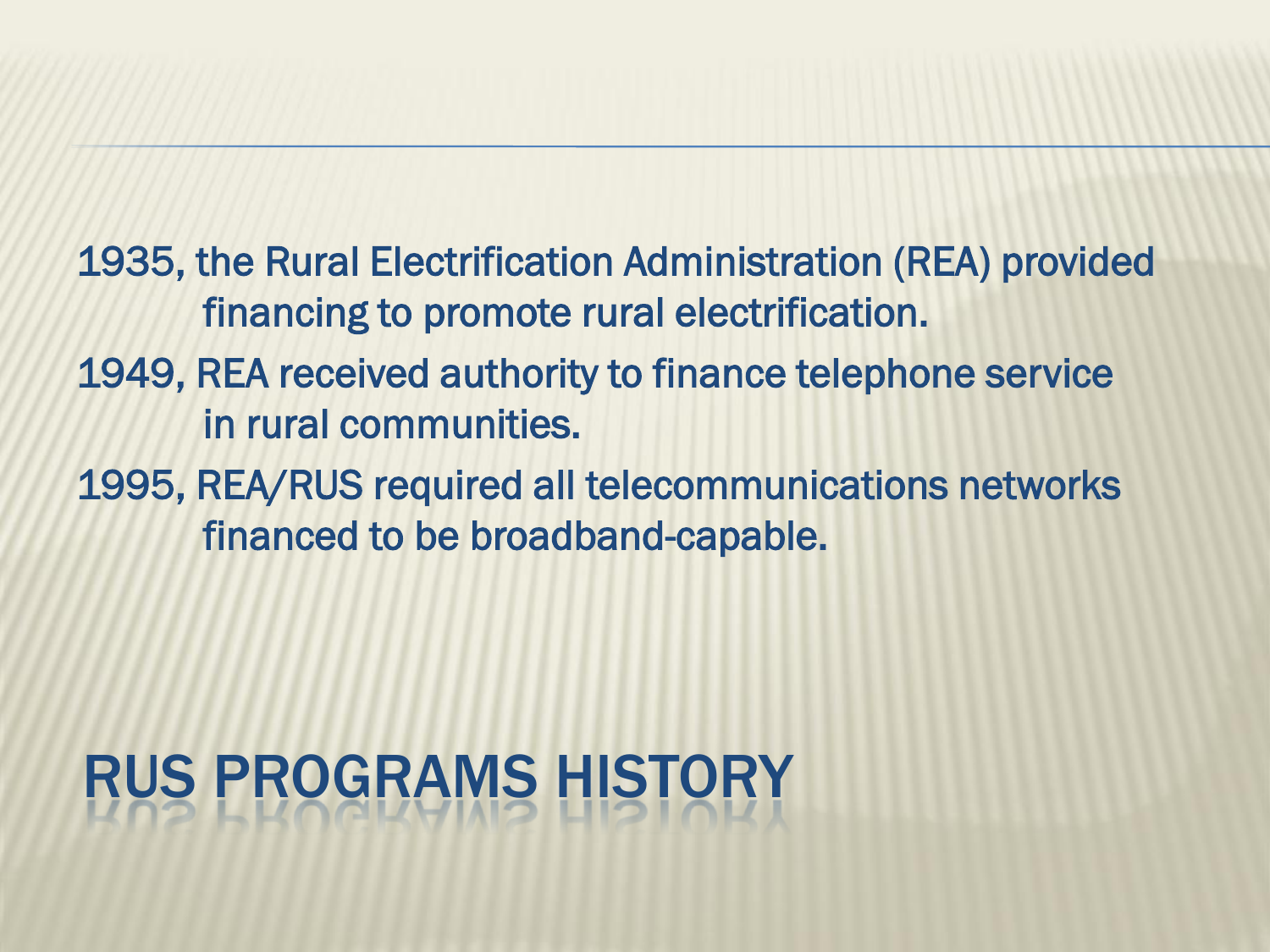1935, the Rural Electrification Administration (REA) provided financing to promote rural electrification.

- 1949, REA received authority to finance telephone service in rural communities.
- 1995, REA/RUS required all telecommunications networks financed to be broadband-capable.

# RUS PROGRAMS HISTORY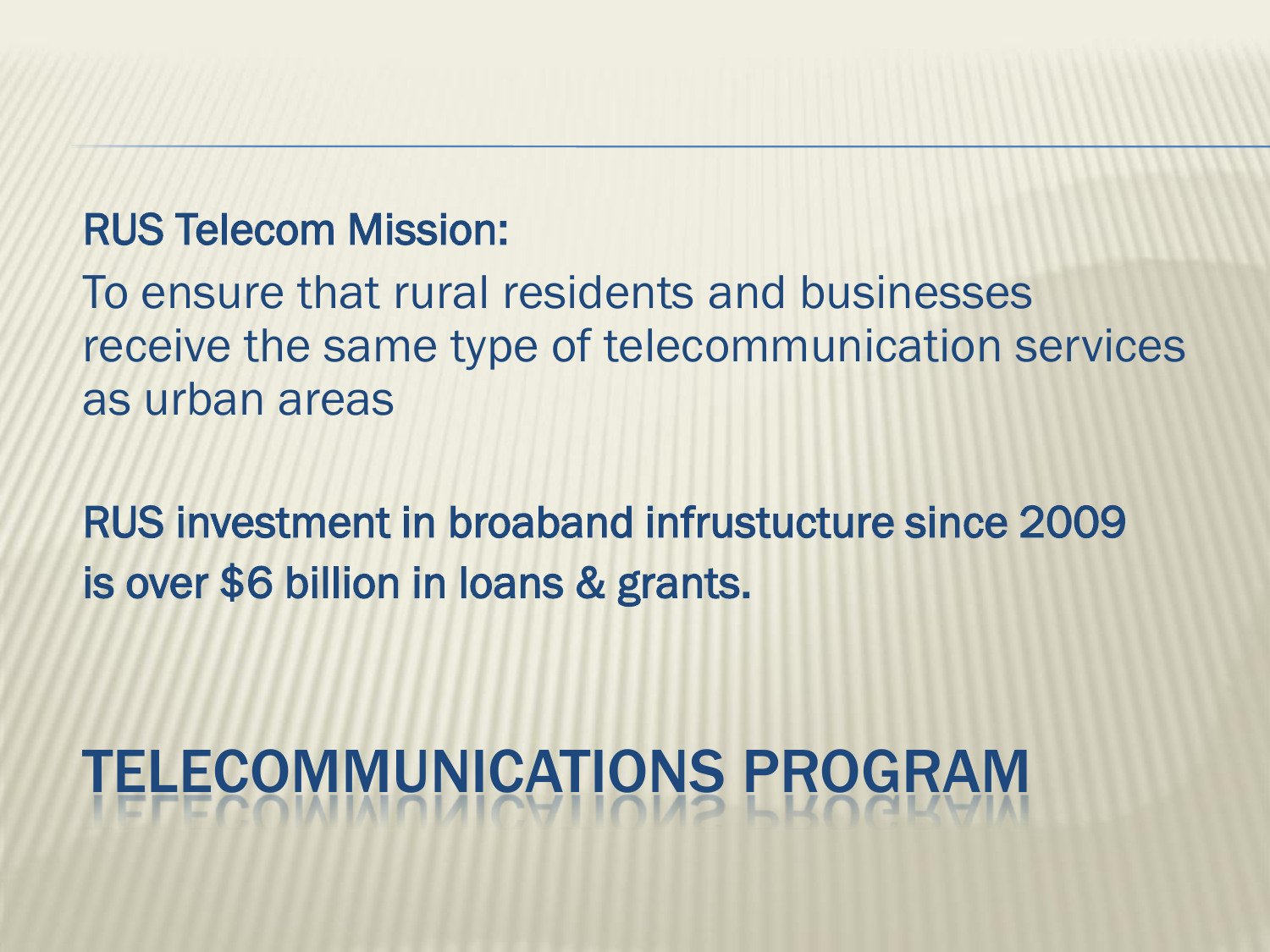#### RUS Telecom Mission:

To ensure that rural residents and businesses receive the same type of telecommunication services as urban areas

RUS investment in broaband infrustucture since 2009 is over \$6 billion in loans & grants.

# TELECOMMUNICATIONS PROGRAM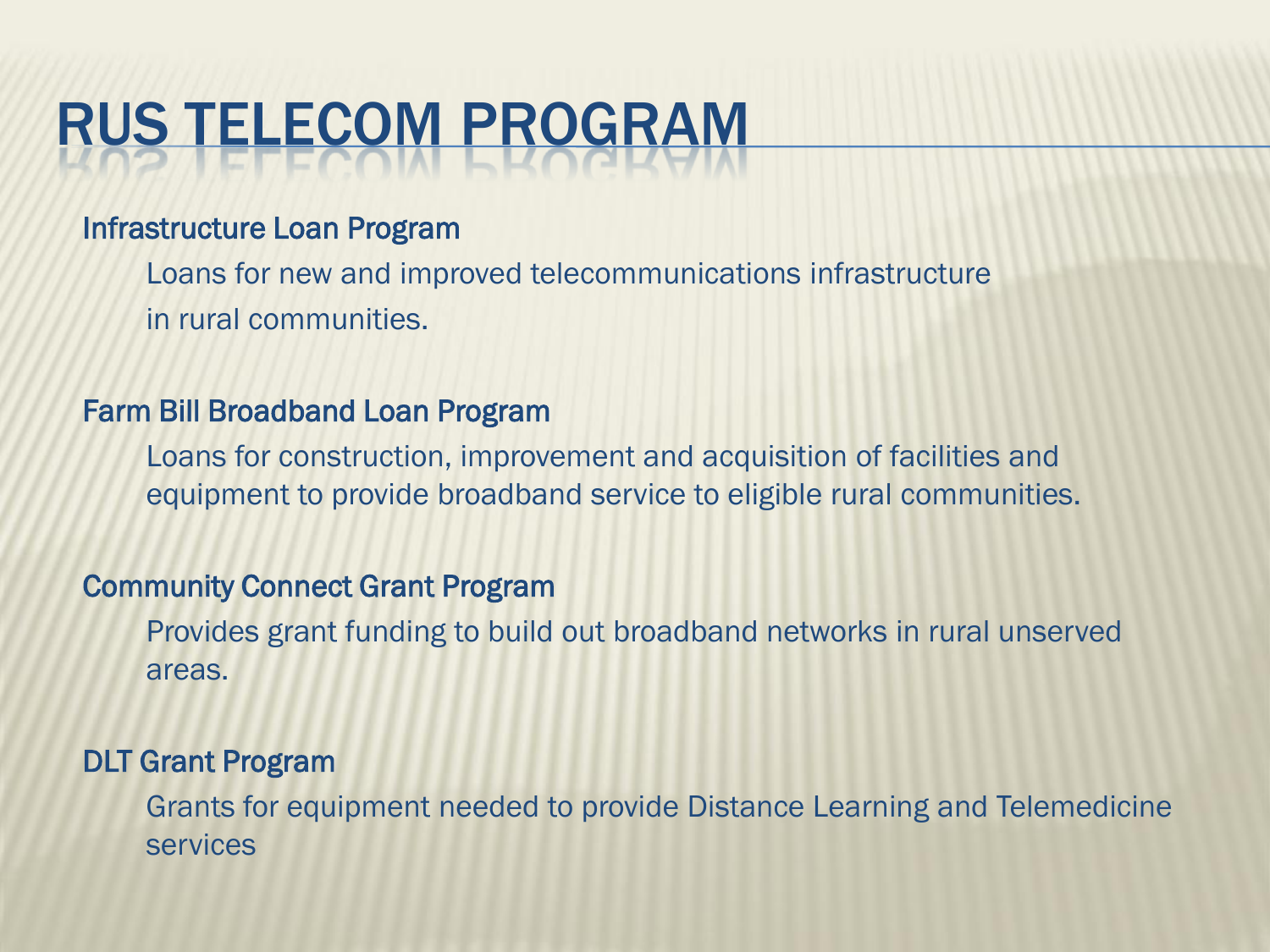### RUS TELECOM PROGRAM

#### Infrastructure Loan Program

Loans for new and improved telecommunications infrastructure in rural communities.

#### Farm Bill Broadband Loan Program

Loans for construction, improvement and acquisition of facilities and equipment to provide broadband service to eligible rural communities.

#### Community Connect Grant Program

Provides grant funding to build out broadband networks in rural unserved areas.

#### DLT Grant Program

Grants for equipment needed to provide Distance Learning and Telemedicine services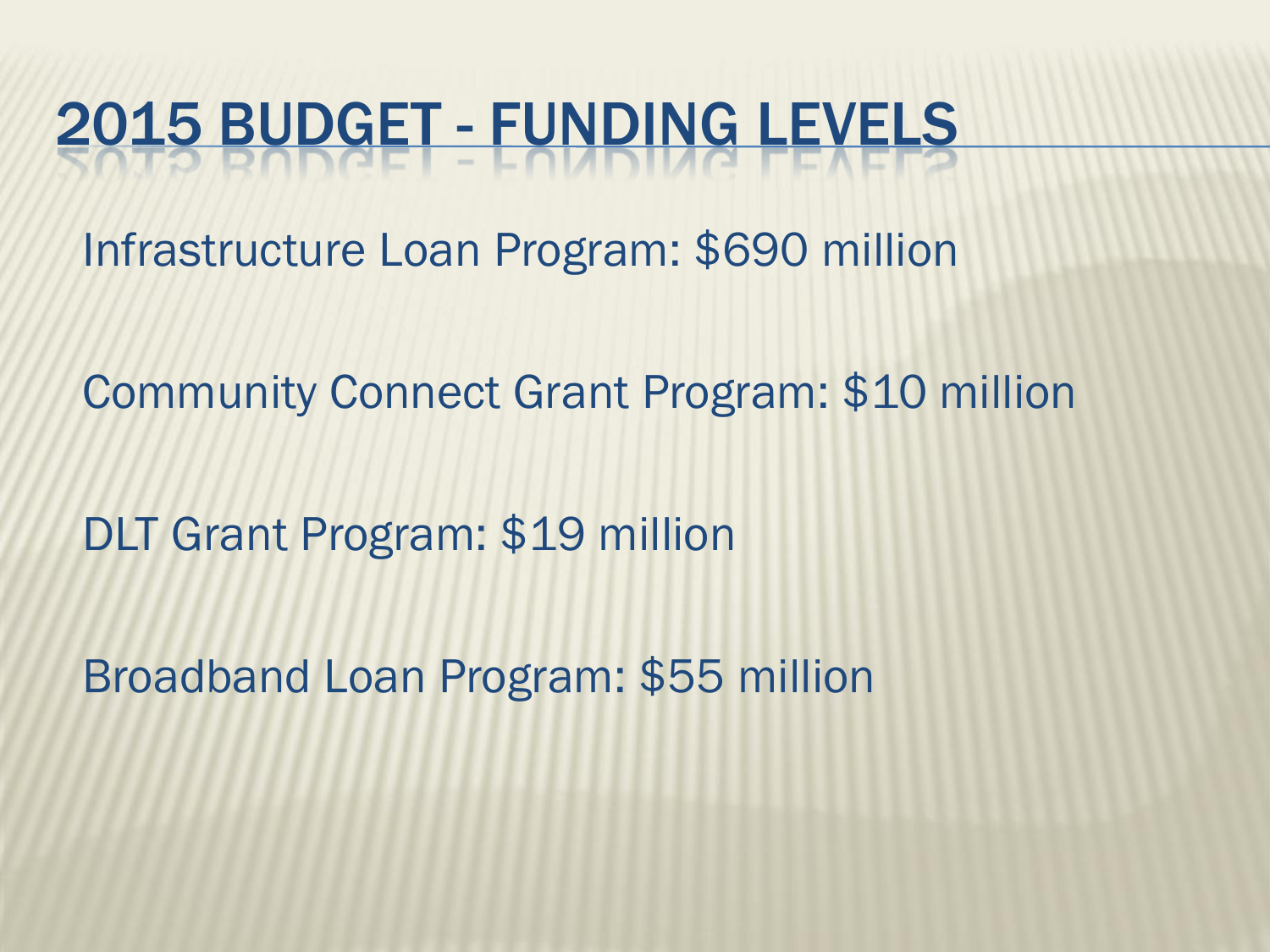### 2015 BUDGET - FUNDING LEVELS

Infrastructure Loan Program: \$690 million

Community Connect Grant Program: \$10 million

DLT Grant Program: \$19 million

Broadband Loan Program: \$55 million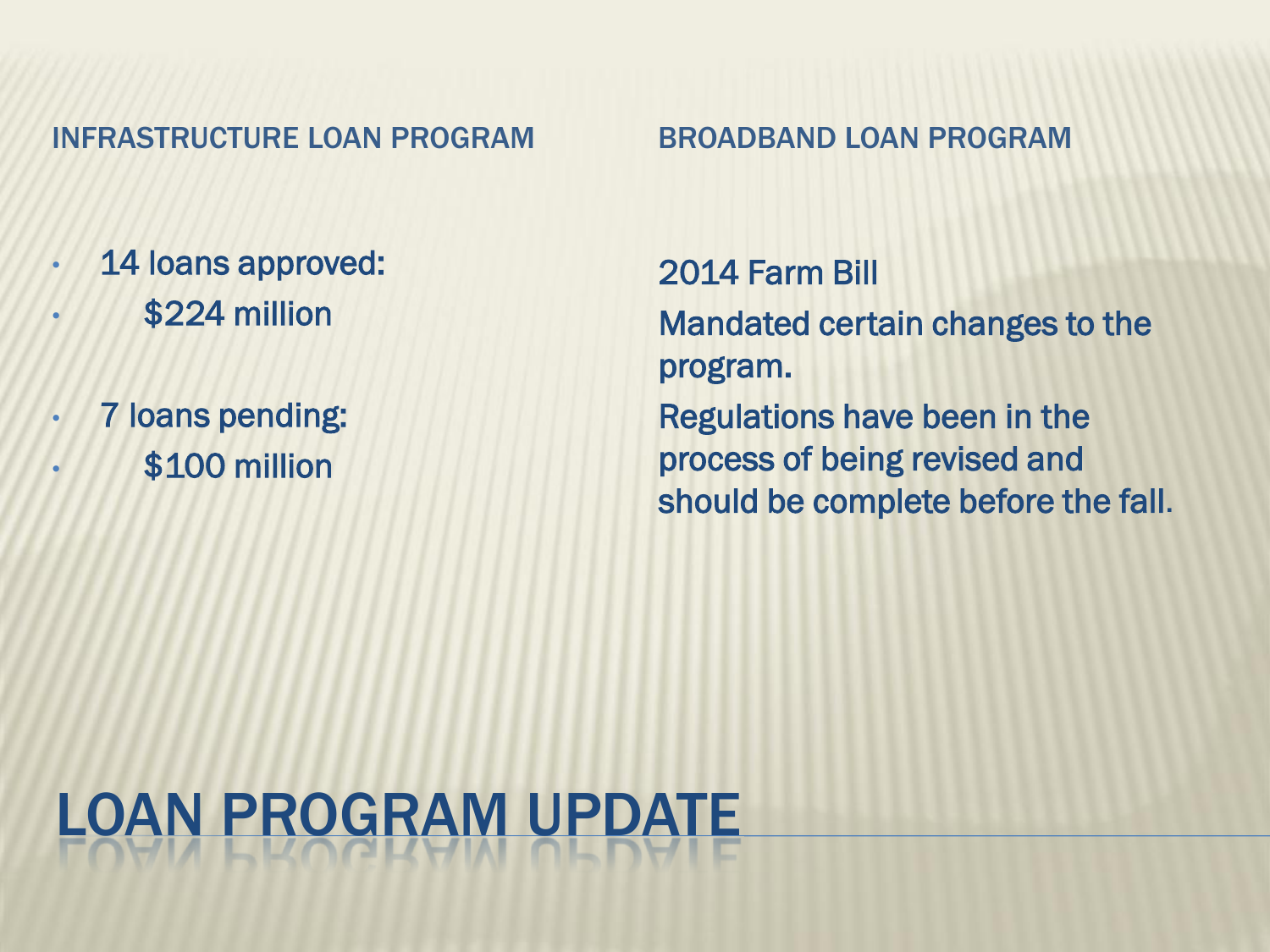#### INFRASTRUCTURE LOAN PROGRAM BROADBAND LOAN PROGRAM

- 14 loans approved:
- \$224 million
- 7 loans pending:
- \$100 million

2014 Farm Bill Mandated certain changes to the program. Regulations have been in the process of being revised and should be complete before the fall.

# LOAN PROGRAM UPDATE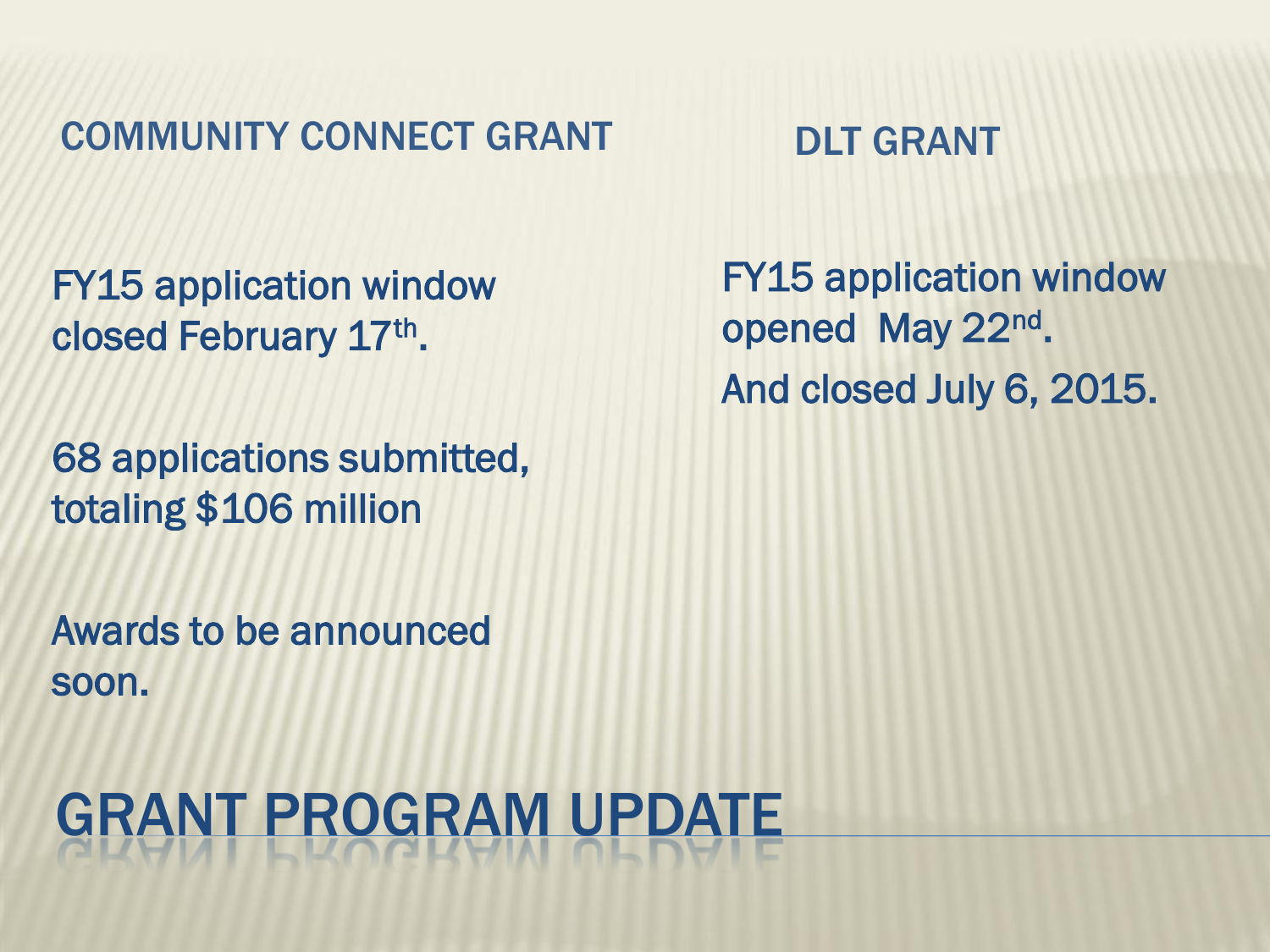COMMUNITY CONNECT GRANT DLT GRANT

FY15 application window closed February 17th.

68 applications submitted, totaling \$106 million

Awards to be announced soon.

### GRANT PROGRAM UPDATE

FY15 application window opened May 22<sup>nd</sup>. And closed July 6, 2015.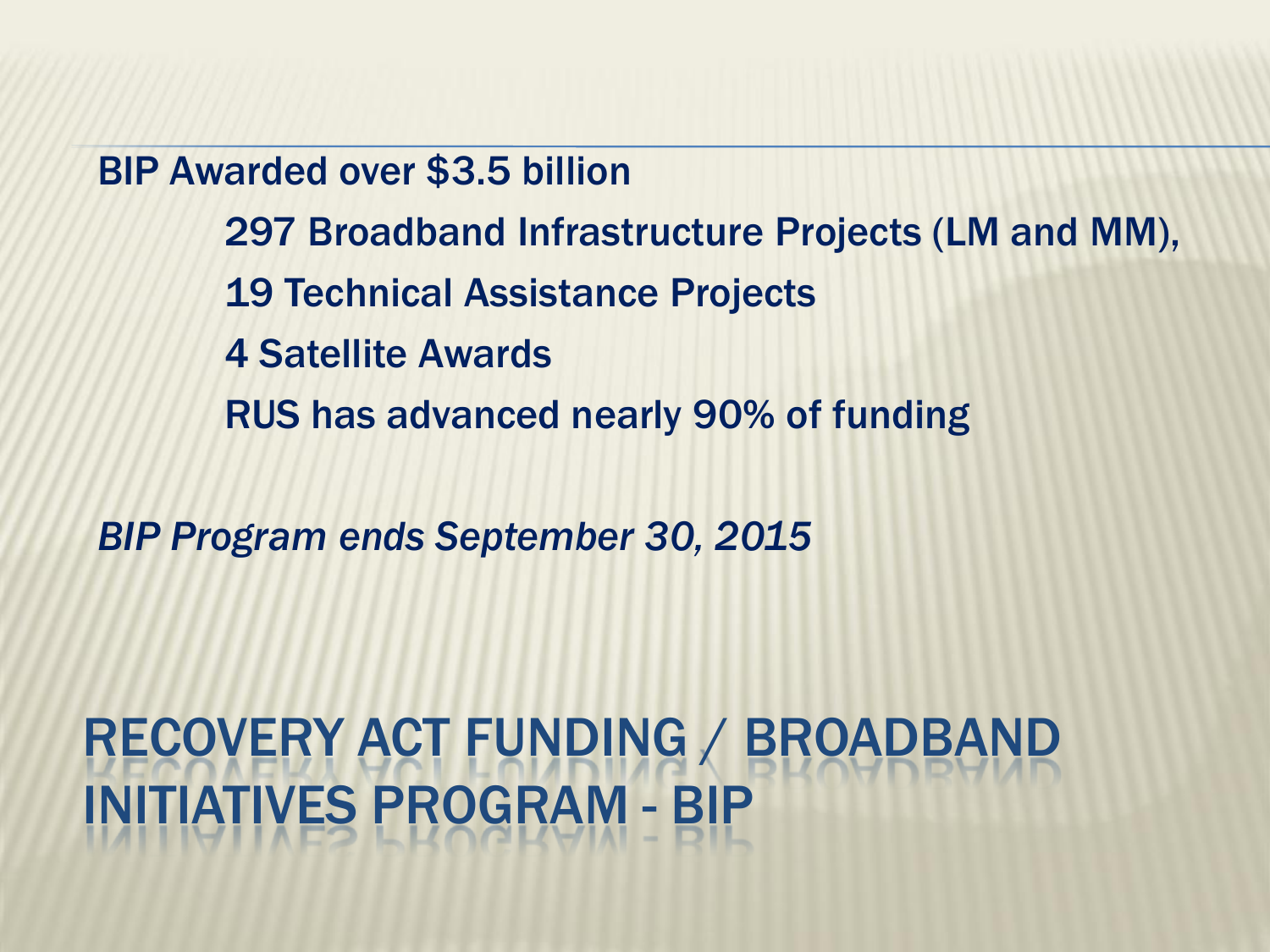BIP Awarded over \$3.5 billion 297 Broadband Infrastructure Projects (LM and MM), 19 Technical Assistance Projects 4 Satellite Awards RUS has advanced nearly 90% of funding

*BIP Program ends September 30, 2015*

RECOVERY ACT FUNDING / BROADBAND INITIATIVES PROGRAM - BIP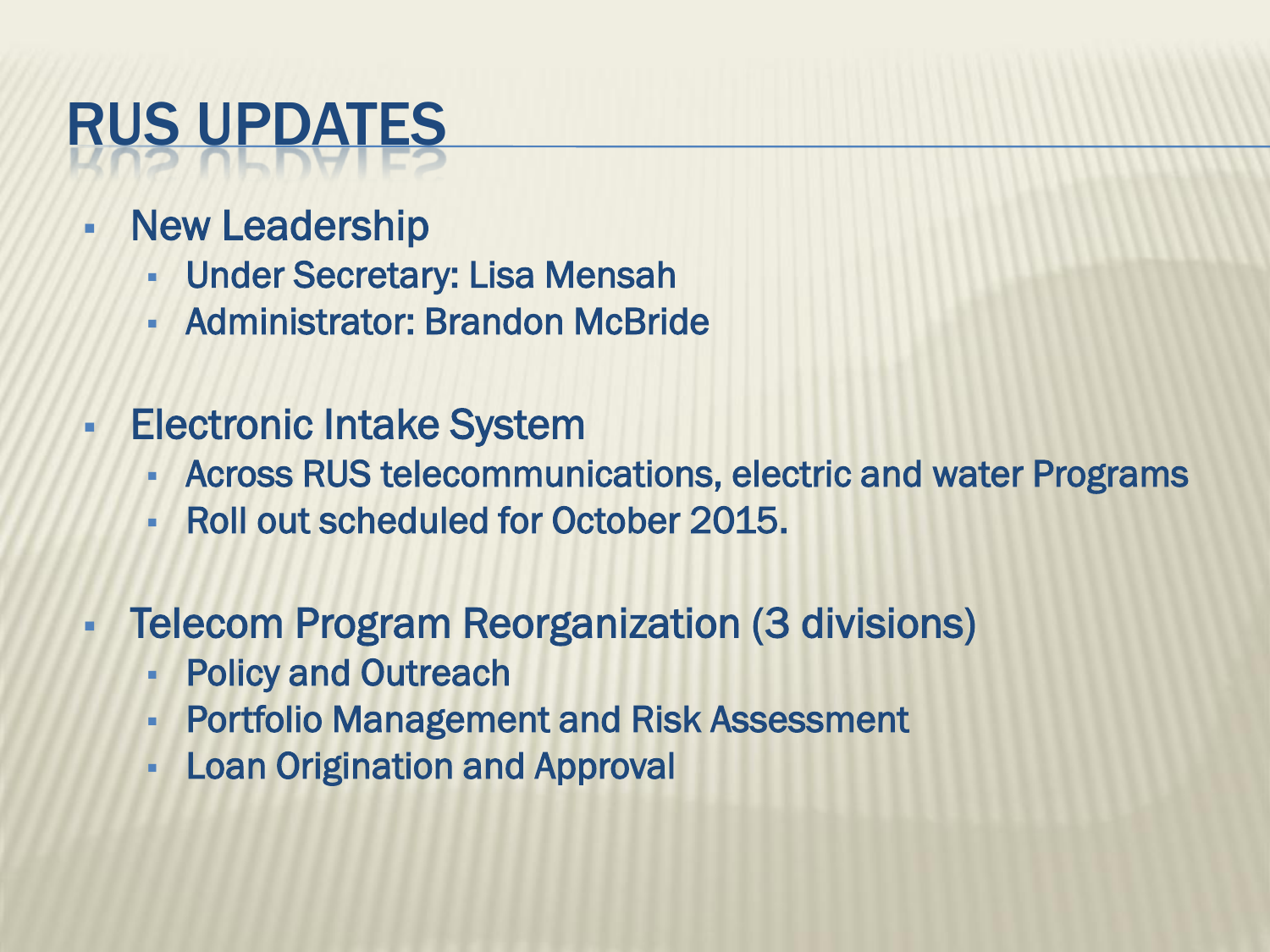### RUS UPDATES

- New Leadership
	- Under Secretary: Lisa Mensah
	- Administrator: Brandon McBride
- **Electronic Intake System** 
	- Across RUS telecommunications, electric and water Programs
	- Roll out scheduled for October 2015.
- **Telecom Program Reorganization (3 divisions)** 
	- Policy and Outreach
	- Portfolio Management and Risk Assessment
	- Loan Origination and Approval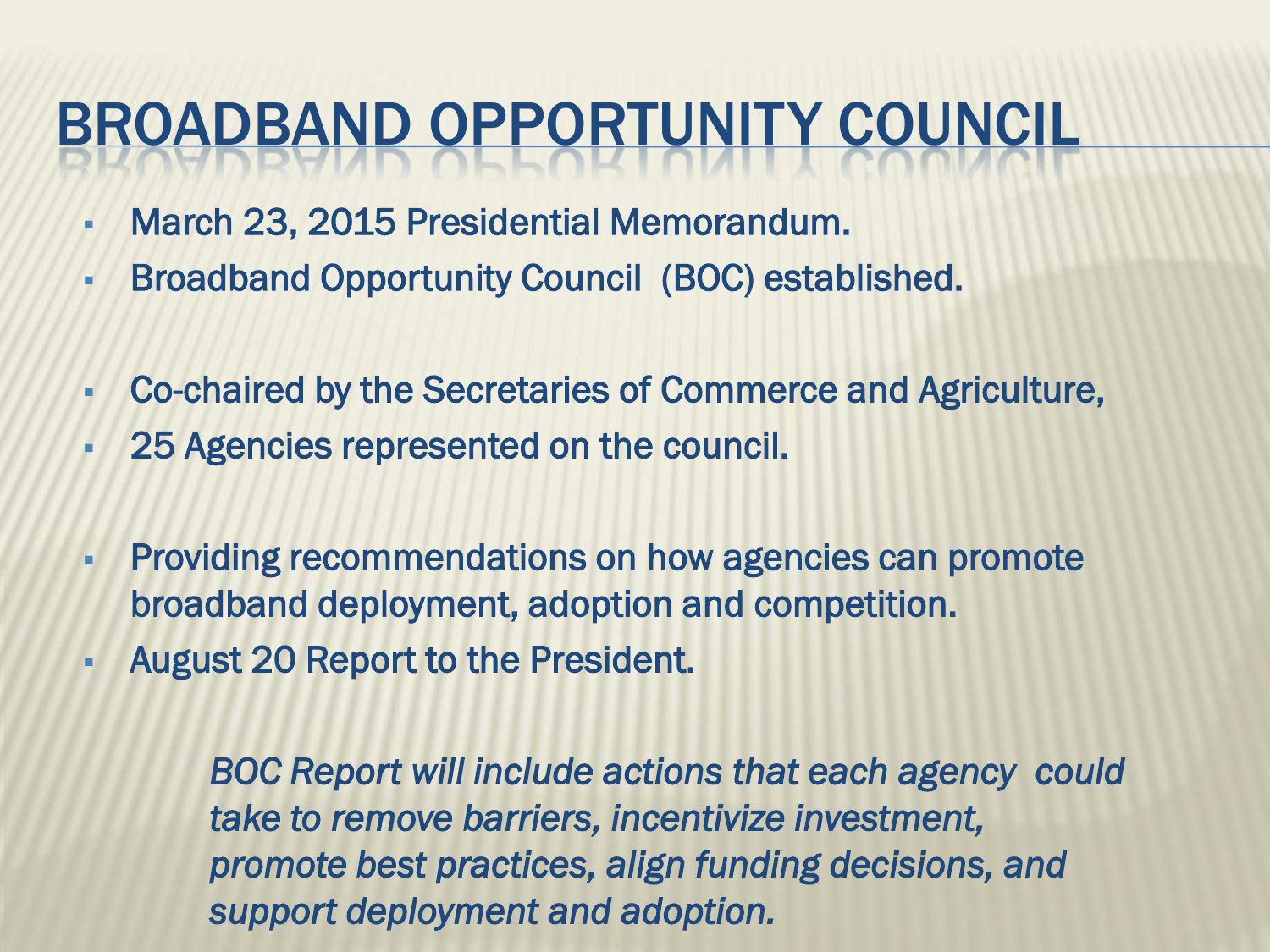#### BROADBAND OPPORTUNITY COUNCIL

- March 23, 2015 Presidential Memorandum.
- Broadband Opportunity Council (BOC) established.
- Co-chaired by the Secretaries of Commerce and Agriculture,
- 25 Agencies represented on the council.
- Providing recommendations on how agencies can promote broadband deployment, adoption and competition.
- August 20 Report to the President.

 *BOC Report will include actions that each agency could take to remove barriers, incentivize investment, promote best practices, align funding decisions, and support deployment and adoption.*